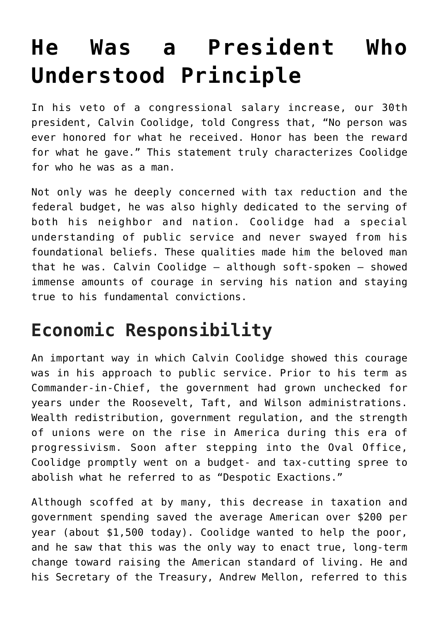## **[He Was a President Who](https://intellectualtakeout.org/2018/02/he-was-a-president-who-understood-principle/) [Understood Principle](https://intellectualtakeout.org/2018/02/he-was-a-president-who-understood-principle/)**

In his veto of a congressional salary increase, our 30th president, Calvin Coolidge, told Congress that, "No person was ever honored for what he received. Honor has been the reward for what he gave." This statement truly characterizes Coolidge for who he was as a man.

Not only was he deeply concerned with tax reduction and the federal budget, he was also highly dedicated to the serving of both his neighbor and nation. Coolidge had a special understanding of public service and never swayed from his foundational beliefs. These qualities made him the beloved man that he was. Calvin Coolidge — although soft-spoken — showed immense amounts of courage in serving his nation and staying true to his fundamental convictions.

## **Economic Responsibility**

An important way in which Calvin Coolidge showed this courage was in his approach to public service. Prior to his term as Commander-in-Chief, the government had grown unchecked for years under the Roosevelt, Taft, and Wilson administrations. Wealth redistribution, government regulation, and the strength of unions were on the rise in America during this era of progressivism. Soon after stepping into the Oval Office, Coolidge promptly went on a budget- and tax-cutting spree to abolish what he referred to as "Despotic Exactions."

Although scoffed at by many, this decrease in taxation and government spending saved the average American over \$200 per year (about \$1,500 today). Coolidge wanted to help the poor, and he saw that this was the only way to enact true, long-term change toward raising the American standard of living. He and his Secretary of the Treasury, Andrew Mellon, referred to this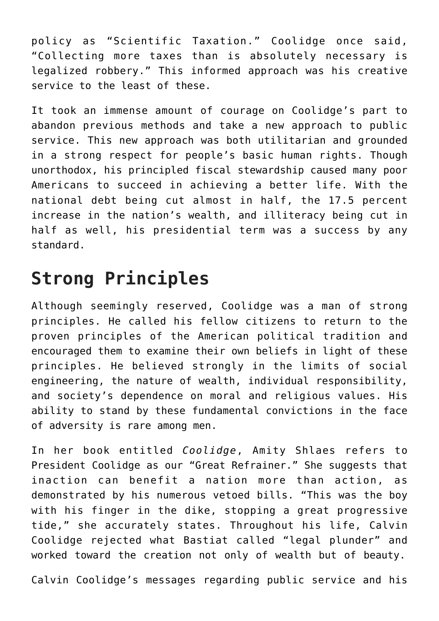policy as "Scientific Taxation." Coolidge once said, "Collecting more taxes than is absolutely necessary is legalized robbery." This informed approach was his creative service to the least of these.

It took an immense amount of courage on Coolidge's part to abandon previous methods and take a new approach to public service. This new approach was both utilitarian and grounded in a strong respect for people's basic human rights. Though unorthodox, his principled fiscal stewardship caused many poor Americans to succeed in achieving a better life. With the national debt being cut almost in half, the 17.5 percent increase in the nation's wealth, and illiteracy being cut in half as well, his presidential term was a success by any standard.

## **Strong Principles**

Although seemingly reserved, Coolidge was a man of strong principles. He called his fellow citizens to return to the proven principles of the American political tradition and encouraged them to examine their own beliefs in light of these principles. He believed strongly in the limits of social engineering, the nature of wealth, individual responsibility, and society's dependence on moral and religious values. His ability to stand by these fundamental convictions in the face of adversity is rare among men.

In her book entitled *Coolidge*, Amity Shlaes refers to President Coolidge as our "Great Refrainer." She suggests that inaction can benefit a nation more than action, as demonstrated by his numerous vetoed bills. "This was the boy with his finger in the dike, stopping a great progressive tide," she accurately states. Throughout his life, Calvin Coolidge rejected what Bastiat called "legal plunder" and worked toward the creation not only of wealth but of beauty.

Calvin Coolidge's messages regarding public service and his